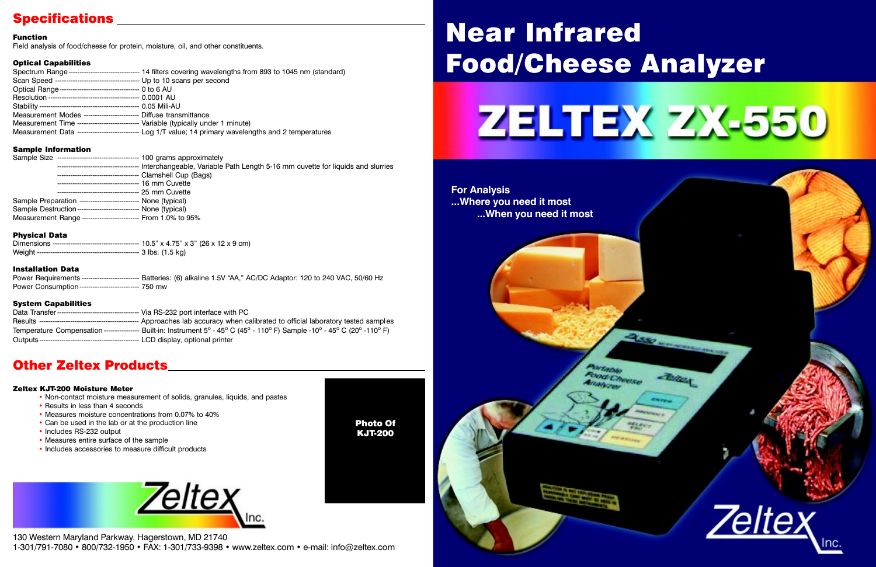# Near Infrared Food/Cheese Analyzer







## Specifications

## Other Zeltex Products

### Function

Field analysis of food/cheese for protein, moisture, oil, and other constituents.

### Optical Capabilities

|                                                                                    | Spectrum Range--------------------------------- 14 filters covering wavelengths from 893 to 1045 nm (standard) |
|------------------------------------------------------------------------------------|----------------------------------------------------------------------------------------------------------------|
|                                                                                    |                                                                                                                |
| Optical Range----------------------------------- 0 to 6 AU                         |                                                                                                                |
|                                                                                    |                                                                                                                |
|                                                                                    |                                                                                                                |
| Measurement Modes ------------------------- Diffuse transmittance                  |                                                                                                                |
| Measurement Time ----------------------------- Variable (typically under 1 minute) |                                                                                                                |
|                                                                                    | Measurement Data ------------------------------- Log 1/T value; 14 primary wavelengths and 2 temperatures      |
|                                                                                    |                                                                                                                |

### Sample Information

- Non-contact moisture measurement of solids, granules, liquids, and pastes
- Results in less than 4 seconds
- Measures moisture concentrations from 0.07% to 40%
- Can be used in the lab or at the production line
- Includes RS-232 output
- Measures entire surface of the sample
- Includes accessories to measure difficult products



| Sample Size -----------------------------------<br>100 grams approximately     |
|--------------------------------------------------------------------------------|
| Interchangeable, Variable Path Length 5-16 mm cuvette for liquids and slurries |
|                                                                                |
| 16 mm Cuvette                                                                  |
| 25 mm Cuvette                                                                  |
|                                                                                |
| Sample Destruction---------------------------   None (typical)                 |
| Measurement Range ------------------------- From 1.0% to 95%                   |
|                                                                                |

130 Western Maryland Parkway, Hagerstown, MD 21740 1-301/791-7080 • 800/732-1950 • FAX: 1-301/733-9398 • www.zeltex.com • e-mail: info@zeltex.com

### Physical Data

### Installation Data

| Power Requirements ------------------------- Batteries: (6) alkaline 1.5V "AA," AC/DC Adaptor: 120 to 240 VAC, 50/60 Hz |  |  |  |
|-------------------------------------------------------------------------------------------------------------------------|--|--|--|
| Power Consumption --------------------------- 750 mw                                                                    |  |  |  |

### System Capabilities

| Temperature Compensation ---------------- Built-in: Instrument $5^{\circ}$ - 45° C (45° - 110° F) Sample -10° - 45° C (20° -110° F) |
|-------------------------------------------------------------------------------------------------------------------------------------|
|                                                                                                                                     |

### Zeltex KJT-200 Moisture Meter

Photo Of KJT-200